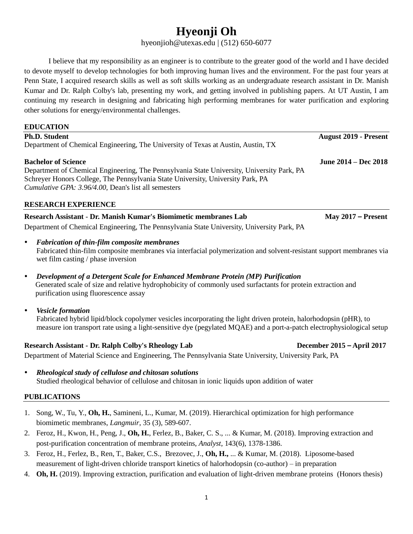# **Hyeonji Oh**

hyeonjioh@utexas.edu | (512) 650-6077

I believe that my responsibility as an engineer is to contribute to the greater good of the world and I have decided to devote myself to develop technologies for both improving human lives and the environment. For the past four years at Penn State, I acquired research skills as well as soft skills working as an undergraduate research assistant in Dr. Manish Kumar and Dr. Ralph Colby's lab, presenting my work, and getting involved in publishing papers. At UT Austin, I am continuing my research in designing and fabricating high performing membranes for water purification and exploring other solutions for energy/environmental challenges.

| <b>EDUCATION</b>                                                                           |                              |
|--------------------------------------------------------------------------------------------|------------------------------|
| <b>Ph.D. Student</b>                                                                       | <b>August 2019 - Present</b> |
| Department of Chemical Engineering, The University of Texas at Austin, Austin, TX          |                              |
| <b>Bachelor of Science</b>                                                                 | June 2014 – Dec 2018         |
| Department of Chemical Engineering, The Pennsylvania State University, University Park, PA |                              |
| Schreyer Honors College, The Pennsylvania State University, University Park, PA            |                              |
| <i>Cumulative GPA: 3.96/4.00, Dean's list all semesters</i>                                |                              |
| <b>RESEARCH EXPERIENCE</b>                                                                 |                              |
| Research Assistant - Dr. Manish Kumar's Biomimetic membranes Lab                           | May $2017$ – Present         |
| Department of Chemical Engineering, The Pennsylvania State University, University Park, PA |                              |

- *Fabrication of thin-film composite membranes*  Fabricated thin-film composite membranes via interfacial polymerization and solvent-resistant support membranes via wet film casting / phase inversion
- *Development of a Detergent Scale for Enhanced Membrane Protein (MP) Purification*  Generated scale of size and relative hydrophobicity of commonly used surfactants for protein extraction and purification using fluorescence assay
- *Vesicle formation*

Fabricated hybrid lipid/block copolymer vesicles incorporating the light driven protein, halorhodopsin (pHR), to measure ion transport rate using a light-sensitive dye (pegylated MQAE) and a port-a-patch electrophysiological setup

# **Research Assistant - Dr. Ralph Colby's Rheology Lab December 2015** – **April 2017**

Department of Material Science and Engineering, The Pennsylvania State University, University Park, PA

 *Rheological study of cellulose and chitosan solutions* Studied rheological behavior of cellulose and chitosan in ionic liquids upon addition of water

# **PUBLICATIONS**

- 1. Song, W., Tu, Y., **Oh, H.**, Samineni, L., Kumar, M. (2019). Hierarchical optimization for high performance biomimetic membranes, *Langmuir*, 35 (3), 589-607.
- 2. Feroz, H., Kwon, H., Peng, J., **Oh, H.**, Ferlez, B., Baker, C. S., ... & Kumar, M. (2018). Improving extraction and post-purification concentration of membrane proteins, *Analyst*, 143(6), 1378-1386.
- 3. Feroz, H., Ferlez, B., Ren, T., Baker, C.S., Brezovec, J., **Oh, H.,** ... & Kumar, M. (2018). Liposome-based measurement of light-driven chloride transport kinetics of halorhodopsin (co-author) – in preparation
- 4. **Oh, H.** (2019). Improving extraction, purification and evaluation of light-driven membrane proteins (Honors thesis)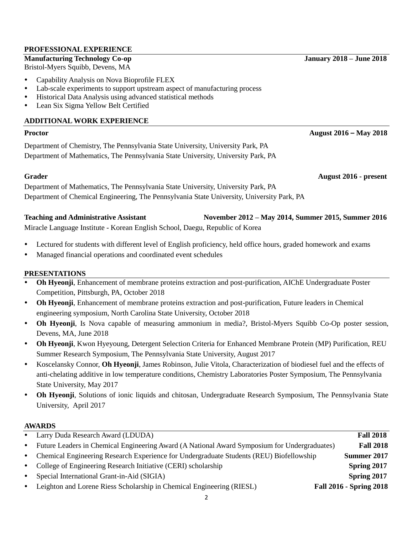### **PROFESSIONAL EXPERIENCE**

# **Manufacturing Technology Co-op January 2018 – June 2018**

Bristol-Myers Squibb, Devens, MA

- Capability Analysis on Nova Bioprofile FLEX
- Lab-scale experiments to support upstream aspect of manufacturing process
- Historical Data Analysis using advanced statistical methods
- Lean Six Sigma Yellow Belt Certified

# **ADDITIONAL WORK EXPERIENCE**

# **Proctor August 2016** – **May 2018**

Department of Chemistry, The Pennsylvania State University, University Park, PA Department of Mathematics, The Pennsylvania State University, University Park, PA

**Grader August 2016 - present**

Department of Mathematics, The Pennsylvania State University, University Park, PA Department of Chemical Engineering, The Pennsylvania State University, University Park, PA

### **Teaching and Administrative Assistant November 2012 – May 2014, Summer 2015, Summer 2016** Miracle Language Institute - Korean English School, Daegu, Republic of Korea

- Lectured for students with different level of English proficiency, held office hours, graded homework and exams
- Managed financial operations and coordinated event schedules

# **PRESENTATIONS**

- **Oh Hyeonji**, Enhancement of membrane proteins extraction and post-purification, AIChE Undergraduate Poster Competition, Pittsburgh, PA, October 2018
- **Oh Hyeonji**, Enhancement of membrane proteins extraction and post-purification, Future leaders in Chemical engineering symposium, North Carolina State University, October 2018
- **Oh Hyeonji**, Is Nova capable of measuring ammonium in media?, Bristol-Myers Squibb Co-Op poster session, Devens, MA, June 2018
- **Oh Hyeonji**, Kwon Hyeyoung, Detergent Selection Criteria for Enhanced Membrane Protein (MP) Purification, REU Summer Research Symposium, The Pennsylvania State University, August 2017
- Koscelansky Connor, **Oh Hyeonji**, James Robinson, Julie Vitola, Characterization of biodiesel fuel and the effects of anti-chelating additive in low temperature conditions, Chemistry Laboratories Poster Symposium, The Pennsylvania State University, May 2017
- **Oh Hyeonji**, Solutions of ionic liquids and chitosan, Undergraduate Research Symposium, The Pennsylvania State University, April 2017

# **AWARDS**

|           | • Larry Duda Research Award (LDUDA)                                                          | <b>Fall 2018</b>               |
|-----------|----------------------------------------------------------------------------------------------|--------------------------------|
| $\bullet$ | Future Leaders in Chemical Engineering Award (A National Award Symposium for Undergraduates) | <b>Fall 2018</b>               |
|           | • Chemical Engineering Research Experience for Undergraduate Students (REU) Biofellowship    | Summer 2017                    |
|           | • College of Engineering Research Initiative (CERI) scholarship                              | Spring 2017                    |
| $\bullet$ | Special International Grant-in-Aid (SIGIA)                                                   | Spring 2017                    |
| $\bullet$ | Leighton and Lorene Riess Scholarship in Chemical Engineering (RIESL)                        | <b>Fall 2016 - Spring 2018</b> |
|           |                                                                                              |                                |